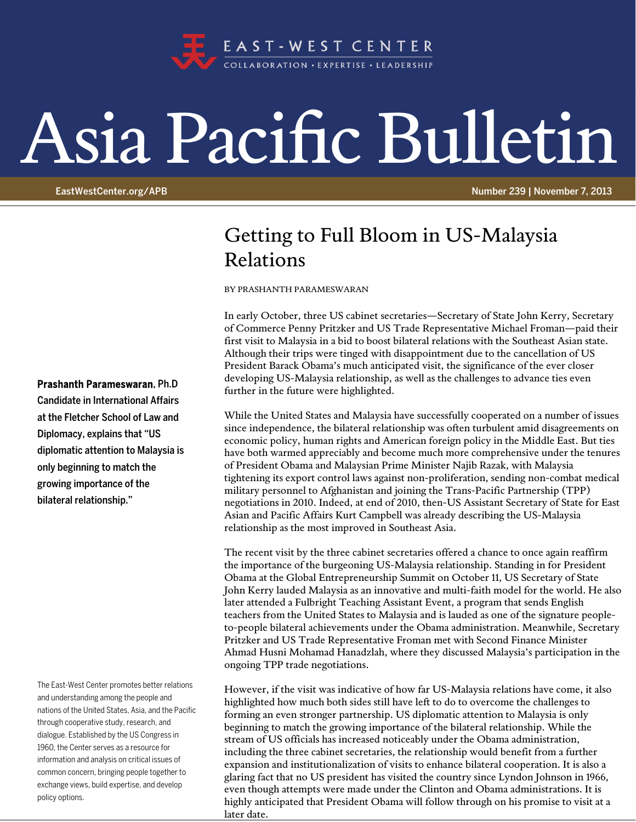

## Asia Pacific Bulletin

EastWestCenter.org/APB Number 239 | November 7, 2013

## Getting to Full Bloom in US-Malaysia Relations

BY PRASHANTH PARAMESWARAN

In early October, three US cabinet secretaries—Secretary of State John Kerry, Secretary of Commerce Penny Pritzker and US Trade Representative Michael Froman—paid their first visit to Malaysia in a bid to boost bilateral relations with the Southeast Asian state. Although their trips were tinged with disappointment due to the cancellation of US President Barack Obama's much anticipated visit, the significance of the ever closer developing US-Malaysia relationship, as well as the challenges to advance ties even further in the future were highlighted.

While the United States and Malaysia have successfully cooperated on a number of issues since independence, the bilateral relationship was often turbulent amid disagreements on economic policy, human rights and American foreign policy in the Middle East. But ties have both warmed appreciably and become much more comprehensive under the tenures of President Obama and Malaysian Prime Minister Najib Razak, with Malaysia tightening its export control laws against non-proliferation, sending non-combat medical military personnel to Afghanistan and joining the Trans-Pacific Partnership (TPP) negotiations in 2010. Indeed, at end of 2010, then-US Assistant Secretary of State for East Asian and Pacific Affairs Kurt Campbell was already describing the US-Malaysia relationship as the most improved in Southeast Asia.

The recent visit by the three cabinet secretaries offered a chance to once again reaffirm the importance of the burgeoning US-Malaysia relationship. Standing in for President Obama at the Global Entrepreneurship Summit on October 11, US Secretary of State John Kerry lauded Malaysia as an innovative and multi-faith model for the world. He also later attended a Fulbright Teaching Assistant Event, a program that sends English teachers from the United States to Malaysia and is lauded as one of the signature peopleto-people bilateral achievements under the Obama administration. Meanwhile, Secretary Pritzker and US Trade Representative Froman met with Second Finance Minister Ahmad Husni Mohamad Hanadzlah, where they discussed Malaysia's participation in the ongoing TPP trade negotiations.

However, if the visit was indicative of how far US-Malaysia relations have come, it also highlighted how much both sides still have left to do to overcome the challenges to forming an even stronger partnership. US diplomatic attention to Malaysia is only beginning to match the growing importance of the bilateral relationship. While the stream of US officials has increased noticeably under the Obama administration, including the three cabinet secretaries, the relationship would benefit from a further expansion and institutionalization of visits to enhance bilateral cooperation. It is also a glaring fact that no US president has visited the country since Lyndon Johnson in 1966, even though attempts were made under the Clinton and Obama administrations. It is highly anticipated that President Obama will follow through on his promise to visit at a later date.

## Prashanth Parameswaran, Ph.D

Candidate in International Affairs at the Fletcher School of Law and Diplomacy, explains that "US diplomatic attention to Malaysia is only beginning to match the growing importance of the bilateral relationship."

The East-West Center promotes better relations and understanding among the people and nations of the United States, Asia, and the Pacific through cooperative study, research, and dialogue. Established by the US Congress in 1960, the Center serves as a resource for information and analysis on critical issues of common concern, bringing people together to exchange views, build expertise, and develop policy options.